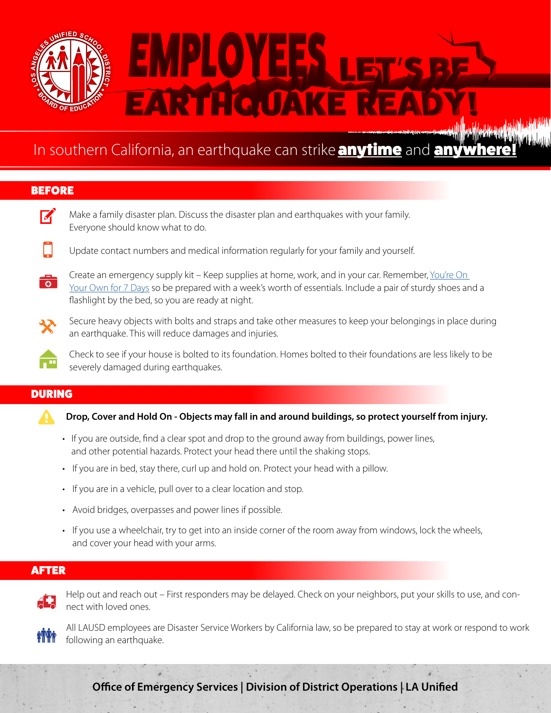

## In southern California, an earthquake can strike **anytime** and **any**

## BEFORE



 $\nabla'$  Make a family disaster plan. Discuss the disaster plan and earthquakes with your family. Everyone should know what to do.

- Update contact numbers and medical information regularly for your family and yourself.
- Create an emergency supply kit Keep supplies at home, work, and in your car. Remember, You're On  $\overline{\bullet}$ [Your Own for 7 Days](https://achieve.lausd.net/YOYO7) so be prepared with a week's worth of essentials. Include a pair of sturdy shoes and a flashlight by the bed, so you are ready at night.
- 

Secure heavy objects with bolts and straps and take other measures to keep your belongings in place during an earthquake. This will reduce damages and injuries.

Check to see if your house is bolted to its foundation. Homes bolted to their foundations are less likely to be severely damaged during earthquakes.

## DURING

- ! **Drop, Cover and Hold On Objects may fall in and around buildings, so protect yourself from injury.**
- If you are outside, find a clear spot and drop to the ground away from buildings, power lines, and other potential hazards. Protect your head there until the shaking stops.
- If you are in bed, stay there, curl up and hold on. Protect your head with a pillow.
- If you are in a vehicle, pull over to a clear location and stop.
- Avoid bridges, overpasses and power lines if possible.
- If you use a wheelchair, try to get into an inside corner of the room away from windows, lock the wheels, and cover your head with your arms.

## AFTER



 Help out and reach out – First responders may be delayed. Check on your neighbors, put your skills to use, and connect with loved ones.



 All LAUSD employees are Disaster Service Workers by California law, so be prepared to stay at work or respond to work following an earthquake.

**Office of Emergency Services | Division of District Operations | LA Unified**